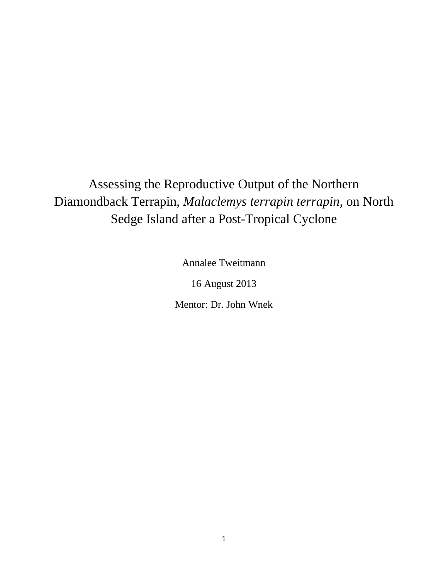Assessing the Reproductive Output of the Northern Diamondback Terrapin, *Malaclemys terrapin terrapin*, on North Sedge Island after a Post-Tropical Cyclone

Annalee Tweitmann

16 August 2013

Mentor: Dr. John Wnek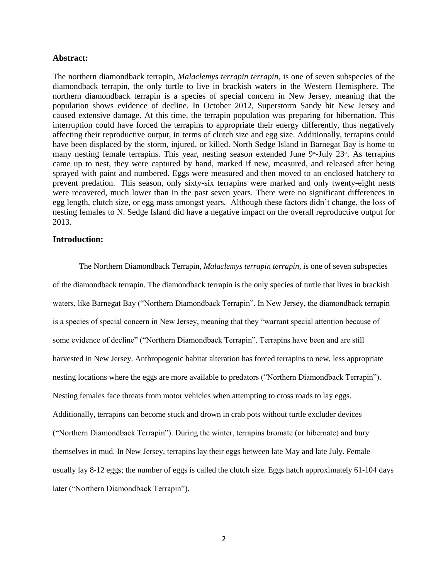#### **Abstract:**

The northern diamondback terrapin, *Malaclemys terrapin terrapin*, is one of seven subspecies of the diamondback terrapin, the only turtle to live in brackish waters in the Western Hemisphere. The northern diamondback terrapin is a species of special concern in New Jersey, meaning that the population shows evidence of decline. In October 2012, Superstorm Sandy hit New Jersey and caused extensive damage. At this time, the terrapin population was preparing for hibernation. This interruption could have forced the terrapins to appropriate their energy differently, thus negatively affecting their reproductive output, in terms of clutch size and egg size. Additionally, terrapins could have been displaced by the storm, injured, or killed. North Sedge Island in Barnegat Bay is home to many nesting female terrapins. This year, nesting season extended June 9<sup>th</sup>-July 23<sup>rd</sup>. As terrapins came up to nest, they were captured by hand, marked if new, measured, and released after being sprayed with paint and numbered. Eggs were measured and then moved to an enclosed hatchery to prevent predation. This season, only sixty-six terrapins were marked and only twenty-eight nests were recovered, much lower than in the past seven years. There were no significant differences in egg length, clutch size, or egg mass amongst years. Although these factors didn't change, the loss of nesting females to N. Sedge Island did have a negative impact on the overall reproductive output for 2013.

### **Introduction:**

The Northern Diamondback Terrapin, *Malaclemys terrapin terrapin*, is one of seven subspecies of the diamondback terrapin. The diamondback terrapin is the only species of turtle that lives in brackish waters, like Barnegat Bay ("Northern Diamondback Terrapin". In New Jersey, the diamondback terrapin is a species of special concern in New Jersey, meaning that they "warrant special attention because of some evidence of decline" ("Northern Diamondback Terrapin". Terrapins have been and are still harvested in New Jersey. Anthropogenic habitat alteration has forced terrapins to new, less appropriate nesting locations where the eggs are more available to predators ("Northern Diamondback Terrapin"). Nesting females face threats from motor vehicles when attempting to cross roads to lay eggs. Additionally, terrapins can become stuck and drown in crab pots without turtle excluder devices ("Northern Diamondback Terrapin"). During the winter, terrapins bromate (or hibernate) and bury themselves in mud. In New Jersey, terrapins lay their eggs between late May and late July. Female usually lay 8-12 eggs; the number of eggs is called the clutch size. Eggs hatch approximately 61-104 days later ("Northern Diamondback Terrapin").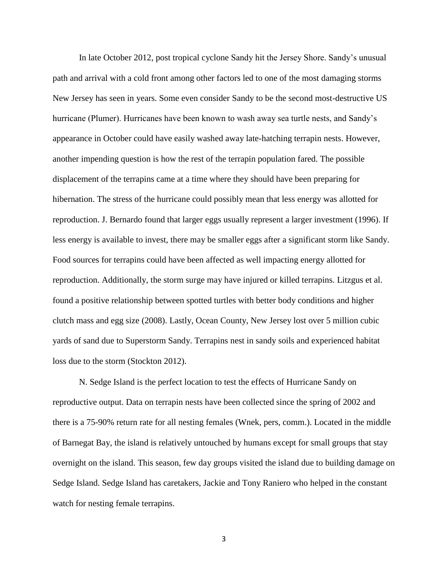In late October 2012, post tropical cyclone Sandy hit the Jersey Shore. Sandy's unusual path and arrival with a cold front among other factors led to one of the most damaging storms New Jersey has seen in years. Some even consider Sandy to be the second most-destructive US hurricane (Plumer). Hurricanes have been known to wash away sea turtle nests, and Sandy's appearance in October could have easily washed away late-hatching terrapin nests. However, another impending question is how the rest of the terrapin population fared. The possible displacement of the terrapins came at a time where they should have been preparing for hibernation. The stress of the hurricane could possibly mean that less energy was allotted for reproduction. J. Bernardo found that larger eggs usually represent a larger investment (1996). If less energy is available to invest, there may be smaller eggs after a significant storm like Sandy. Food sources for terrapins could have been affected as well impacting energy allotted for reproduction. Additionally, the storm surge may have injured or killed terrapins. Litzgus et al. found a positive relationship between spotted turtles with better body conditions and higher clutch mass and egg size (2008). Lastly, Ocean County, New Jersey lost over 5 million cubic yards of sand due to Superstorm Sandy. Terrapins nest in sandy soils and experienced habitat loss due to the storm (Stockton 2012).

N. Sedge Island is the perfect location to test the effects of Hurricane Sandy on reproductive output. Data on terrapin nests have been collected since the spring of 2002 and there is a 75-90% return rate for all nesting females (Wnek, pers, comm.). Located in the middle of Barnegat Bay, the island is relatively untouched by humans except for small groups that stay overnight on the island. This season, few day groups visited the island due to building damage on Sedge Island. Sedge Island has caretakers, Jackie and Tony Raniero who helped in the constant watch for nesting female terrapins.

3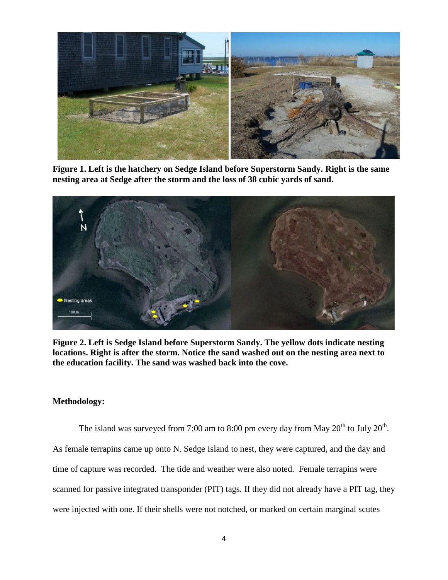

**Figure 1. Left is the hatchery on Sedge Island before Superstorm Sandy. Right is the same nesting area at Sedge after the storm and the loss of 38 cubic yards of sand.**



**Figure 2. Left is Sedge Island before Superstorm Sandy. The yellow dots indicate nesting locations. Right is after the storm. Notice the sand washed out on the nesting area next to the education facility. The sand was washed back into the cove.** 

# **Methodology:**

The island was surveyed from 7:00 am to 8:00 pm every day from May  $20^{th}$  to July  $20^{th}$ . As female terrapins came up onto N. Sedge Island to nest, they were captured, and the day and time of capture was recorded. The tide and weather were also noted. Female terrapins were scanned for passive integrated transponder (PIT) tags. If they did not already have a PIT tag, they were injected with one. If their shells were not notched, or marked on certain marginal scutes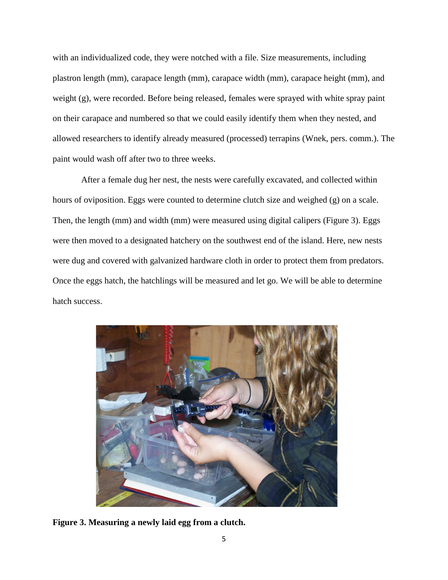with an individualized code, they were notched with a file. Size measurements, including plastron length (mm), carapace length (mm), carapace width (mm), carapace height (mm), and weight (g), were recorded. Before being released, females were sprayed with white spray paint on their carapace and numbered so that we could easily identify them when they nested, and allowed researchers to identify already measured (processed) terrapins (Wnek, pers. comm.). The paint would wash off after two to three weeks.

After a female dug her nest, the nests were carefully excavated, and collected within hours of oviposition. Eggs were counted to determine clutch size and weighed (g) on a scale. Then, the length (mm) and width (mm) were measured using digital calipers (Figure 3). Eggs were then moved to a designated hatchery on the southwest end of the island. Here, new nests were dug and covered with galvanized hardware cloth in order to protect them from predators. Once the eggs hatch, the hatchlings will be measured and let go. We will be able to determine hatch success.



**Figure 3. Measuring a newly laid egg from a clutch.**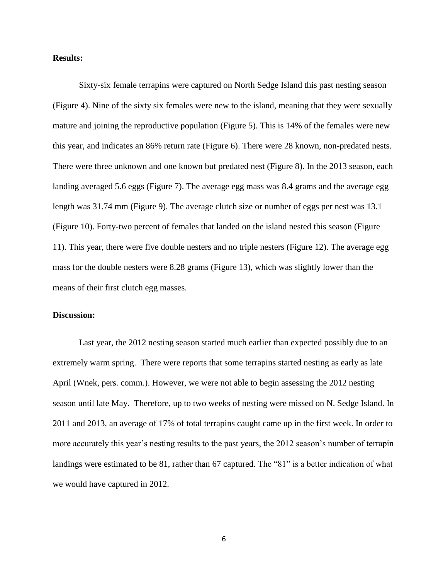### **Results:**

Sixty-six female terrapins were captured on North Sedge Island this past nesting season (Figure 4). Nine of the sixty six females were new to the island, meaning that they were sexually mature and joining the reproductive population (Figure 5). This is 14% of the females were new this year, and indicates an 86% return rate (Figure 6). There were 28 known, non-predated nests. There were three unknown and one known but predated nest (Figure 8). In the 2013 season, each landing averaged 5.6 eggs (Figure 7). The average egg mass was 8.4 grams and the average egg length was 31.74 mm (Figure 9). The average clutch size or number of eggs per nest was 13.1 (Figure 10). Forty-two percent of females that landed on the island nested this season (Figure 11). This year, there were five double nesters and no triple nesters (Figure 12). The average egg mass for the double nesters were 8.28 grams (Figure 13), which was slightly lower than the means of their first clutch egg masses.

## **Discussion:**

Last year, the 2012 nesting season started much earlier than expected possibly due to an extremely warm spring. There were reports that some terrapins started nesting as early as late April (Wnek, pers. comm.). However, we were not able to begin assessing the 2012 nesting season until late May. Therefore, up to two weeks of nesting were missed on N. Sedge Island. In 2011 and 2013, an average of 17% of total terrapins caught came up in the first week. In order to more accurately this year's nesting results to the past years, the 2012 season's number of terrapin landings were estimated to be 81, rather than 67 captured. The "81" is a better indication of what we would have captured in 2012.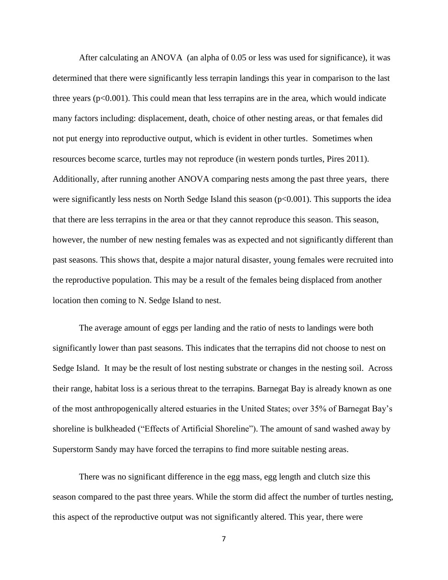After calculating an ANOVA (an alpha of 0.05 or less was used for significance), it was determined that there were significantly less terrapin landings this year in comparison to the last three years  $(p<0.001)$ . This could mean that less terrapins are in the area, which would indicate many factors including: displacement, death, choice of other nesting areas, or that females did not put energy into reproductive output, which is evident in other turtles. Sometimes when resources become scarce, turtles may not reproduce (in western ponds turtles, Pires 2011). Additionally, after running another ANOVA comparing nests among the past three years, there were significantly less nests on North Sedge Island this season  $(p<0.001)$ . This supports the idea that there are less terrapins in the area or that they cannot reproduce this season. This season, however, the number of new nesting females was as expected and not significantly different than past seasons. This shows that, despite a major natural disaster, young females were recruited into the reproductive population. This may be a result of the females being displaced from another location then coming to N. Sedge Island to nest.

The average amount of eggs per landing and the ratio of nests to landings were both significantly lower than past seasons. This indicates that the terrapins did not choose to nest on Sedge Island. It may be the result of lost nesting substrate or changes in the nesting soil. Across their range, habitat loss is a serious threat to the terrapins. Barnegat Bay is already known as one of the most anthropogenically altered estuaries in the United States; over 35% of Barnegat Bay's shoreline is bulkheaded ("Effects of Artificial Shoreline"). The amount of sand washed away by Superstorm Sandy may have forced the terrapins to find more suitable nesting areas.

There was no significant difference in the egg mass, egg length and clutch size this season compared to the past three years. While the storm did affect the number of turtles nesting, this aspect of the reproductive output was not significantly altered. This year, there were

7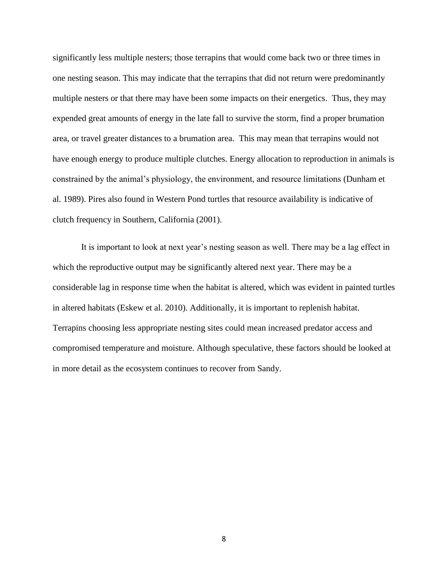significantly less multiple nesters; those terrapins that would come back two or three times in one nesting season. This may indicate that the terrapins that did not return were predominantly multiple nesters or that there may have been some impacts on their energetics. Thus, they may expended great amounts of energy in the late fall to survive the storm, find a proper brumation area, or travel greater distances to a brumation area. This may mean that terrapins would not have enough energy to produce multiple clutches. Energy allocation to reproduction in animals is constrained by the animal's physiology, the environment, and resource limitations (Dunham et al. 1989). Pires also found in Western Pond turtles that resource availability is indicative of clutch frequency in Southern, California (2001).

It is important to look at next year's nesting season as well. There may be a lag effect in which the reproductive output may be significantly altered next year. There may be a considerable lag in response time when the habitat is altered, which was evident in painted turtles in altered habitats (Eskew et al. 2010). Additionally, it is important to replenish habitat. Terrapins choosing less appropriate nesting sites could mean increased predator access and compromised temperature and moisture. Although speculative, these factors should be looked at in more detail as the ecosystem continues to recover from Sandy.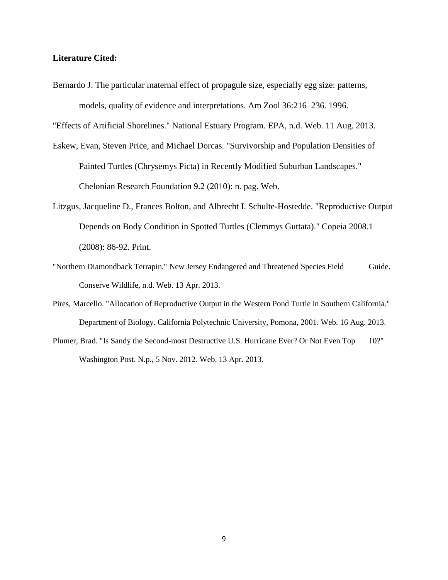### **Literature Cited:**

Bernardo J. The particular maternal effect of propagule size, especially egg size: patterns, models, quality of evidence and interpretations. Am Zool 36:216–236. 1996.

"Effects of Artificial Shorelines." National Estuary Program. EPA, n.d. Web. 11 Aug. 2013.

- Eskew, Evan, Steven Price, and Michael Dorcas. "Survivorship and Population Densities of Painted Turtles (Chrysemys Picta) in Recently Modified Suburban Landscapes." Chelonian Research Foundation 9.2 (2010): n. pag. Web.
- Litzgus, Jacqueline D., Frances Bolton, and Albrecht I. Schulte-Hostedde. "Reproductive Output Depends on Body Condition in Spotted Turtles (Clemmys Guttata)." Copeia 2008.1 (2008): 86-92. Print.
- "Northern Diamondback Terrapin." New Jersey Endangered and Threatened Species Field Guide. Conserve Wildlife, n.d. Web. 13 Apr. 2013.
- Pires, Marcello. "Allocation of Reproductive Output in the Western Pond Turtle in Southern California." Department of Biology. California Polytechnic University, Pomona, 2001. Web. 16 Aug. 2013.
- Plumer, Brad. "Is Sandy the Second-most Destructive U.S. Hurricane Ever? Or Not Even Top 10?" Washington Post. N.p., 5 Nov. 2012. Web. 13 Apr. 2013.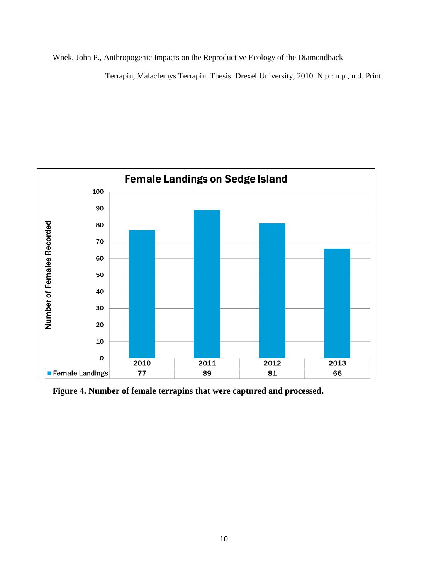Wnek, John P., Anthropogenic Impacts on the Reproductive Ecology of the Diamondback

Terrapin, Malaclemys Terrapin. Thesis. Drexel University, 2010. N.p.: n.p., n.d. Print.



**Figure 4. Number of female terrapins that were captured and processed.**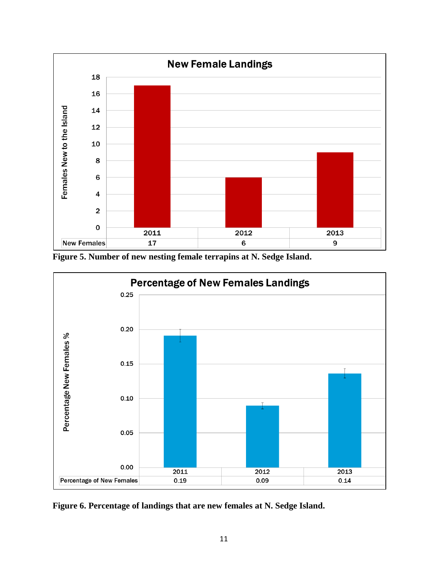

**Figure 5. Number of new nesting female terrapins at N. Sedge Island.**



**Figure 6. Percentage of landings that are new females at N. Sedge Island.**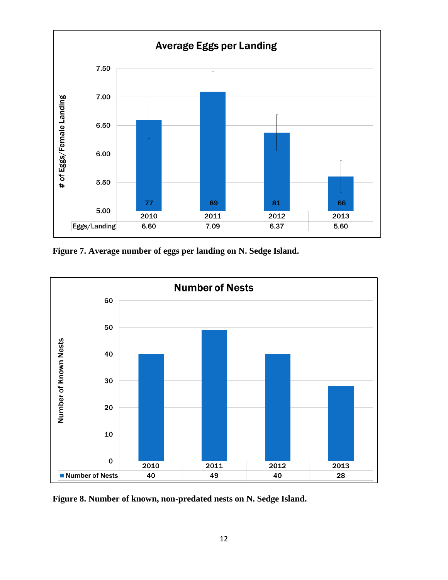

**Figure 7. Average number of eggs per landing on N. Sedge Island.**



**Figure 8. Number of known, non-predated nests on N. Sedge Island.**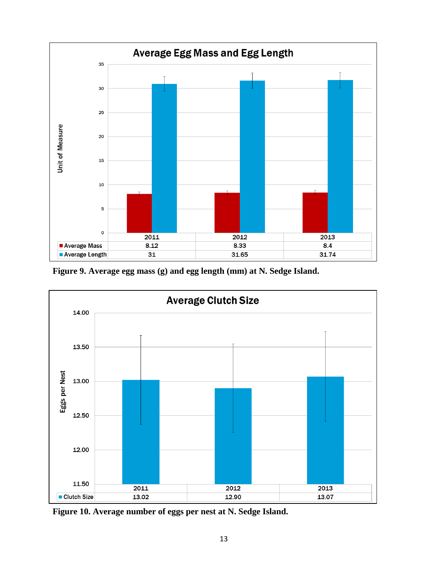

**Figure 9. Average egg mass (g) and egg length (mm) at N. Sedge Island.**



**Figure 10. Average number of eggs per nest at N. Sedge Island.**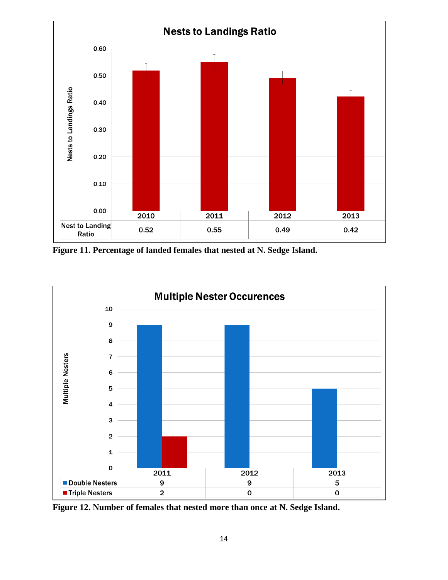

**Figure 11. Percentage of landed females that nested at N. Sedge Island.**



**Figure 12. Number of females that nested more than once at N. Sedge Island.**